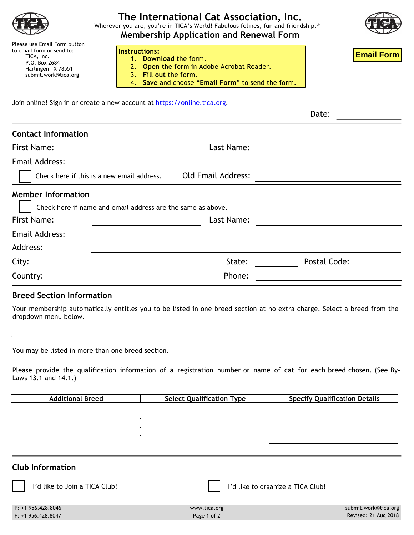| Please use Email Form button<br>to email form or send to:<br>TICA, Inc.<br>P.O. Box 2684<br>Harlingen TX 78551<br>submit.work@tica.org | The International Cat Association, Inc.<br>Wherever you are, you're in TICA's World! Fabulous felines, fun and friendship.®<br><b>Membership Application and Renewal Form</b><br>Instructions:<br>1. Download the form.<br>2. Open the form in Adobe Acrobat Reader.<br>3. Fill out the form.<br>4. Save and choose "Email Form" to send the form. | <b>Email Form</b> |
|----------------------------------------------------------------------------------------------------------------------------------------|----------------------------------------------------------------------------------------------------------------------------------------------------------------------------------------------------------------------------------------------------------------------------------------------------------------------------------------------------|-------------------|
|                                                                                                                                        | Join online! Sign in or create a new account at https://online.tica.org.                                                                                                                                                                                                                                                                           |                   |
|                                                                                                                                        |                                                                                                                                                                                                                                                                                                                                                    | Date:             |
| <b>Contact Information</b><br>First Name:                                                                                              | Last Name:                                                                                                                                                                                                                                                                                                                                         |                   |
|                                                                                                                                        |                                                                                                                                                                                                                                                                                                                                                    |                   |
| Email Address:                                                                                                                         |                                                                                                                                                                                                                                                                                                                                                    |                   |
|                                                                                                                                        | <b>Old Email Address:</b><br>Check here if this is a new email address.                                                                                                                                                                                                                                                                            |                   |
| <b>Member Information</b>                                                                                                              | Check here if name and email address are the same as above.                                                                                                                                                                                                                                                                                        |                   |
| First Name:                                                                                                                            | Last Name:                                                                                                                                                                                                                                                                                                                                         |                   |
| Email Address:                                                                                                                         |                                                                                                                                                                                                                                                                                                                                                    |                   |
| Address:                                                                                                                               |                                                                                                                                                                                                                                                                                                                                                    |                   |
| City:                                                                                                                                  | State:                                                                                                                                                                                                                                                                                                                                             | Postal Code:      |
| Country:                                                                                                                               | Phone:                                                                                                                                                                                                                                                                                                                                             |                   |

## **Breed Section Information**

Your membership automatically entitles you to be listed in one breed section at no extra charge. Select a breed from the dropdown menu below.

You may be listed in more than one breed section.

Please provide the qualification information of a registration number or name of cat for each breed chosen. (See By-Laws 13.1 and 14.1.)

| <b>Additional Breed</b> | <b>Select Qualification Type</b> | <b>Specify Qualification Details</b> |
|-------------------------|----------------------------------|--------------------------------------|
|                         |                                  |                                      |
|                         |                                  |                                      |
|                         |                                  |                                      |
|                         |                                  |                                      |
|                         |                                  |                                      |

## P: +1 956.428.8046 www.tica.org submit.work@tica.org **Club Information** I'd like to Join a TICA Club! I'd like to organize a TICA Club!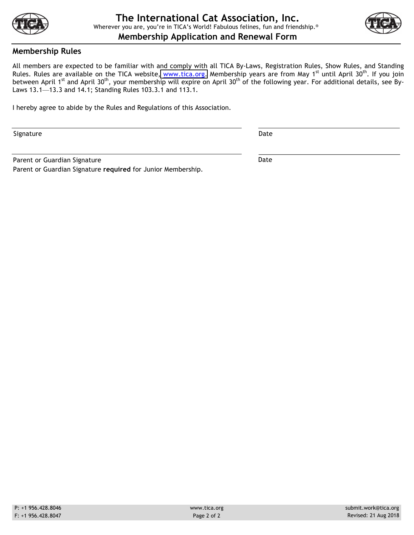



## **Membership Rules**

All members are expected to be familiar with and comply with all TICA By-Laws, Registration Rules, Show Rules, and Standing Rules. Rules are available on the TICA website, [www.tica.org.](www.tica.org) Membership years are from May 1<sup>st</sup> until April 30<sup>th</sup>. If you join between April 1<sup>st</sup> and April 30<sup>th</sup>, your membership will expire on April 30<sup>th</sup> of the following year. For additional details, see By-Laws 13.1—13.3 and 14.1; Standing Rules 103.3.1 and 113.1.

I hereby agree to abide by the Rules and Regulations of this Association.

Signature Date Date of the Date of the Date of the Date of the Date of the Date of the Date of the Date of the Date of the Date of the Date of the Date of the Date of the Date of the Date of the Date of the Date of the Dat

Parent or Guardian Signature **Date** Date Date Parent or Guardian Signature **required** for Junior Membership.